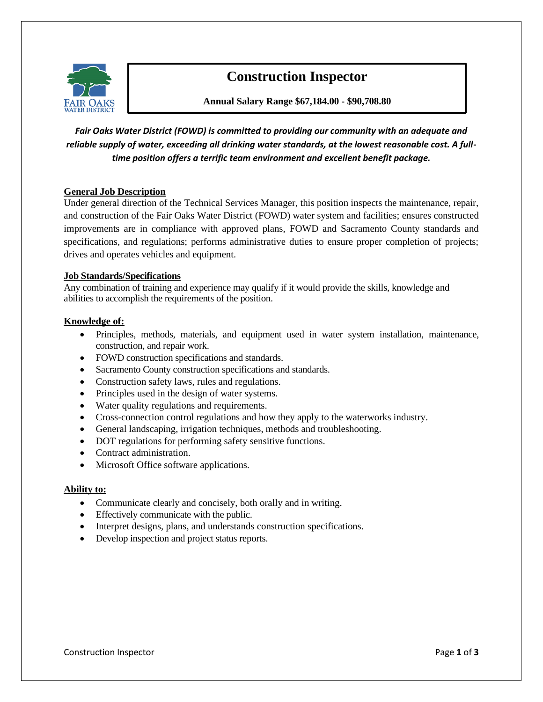

# **Construction Inspector**

**Annual Salary Range \$67,184.00 - \$90,708.80**

# *Fair Oaks Water District (FOWD) is committed to providing our community with an adequate and reliable supply of water, exceeding all drinking water standards, at the lowest reasonable cost. A fulltime position offers a terrific team environment and excellent benefit package.*

#### **General Job Description**

Under general direction of the Technical Services Manager, this position inspects the maintenance, repair, and construction of the Fair Oaks Water District (FOWD) water system and facilities; ensures constructed improvements are in compliance with approved plans, FOWD and Sacramento County standards and specifications, and regulations; performs administrative duties to ensure proper completion of projects; drives and operates vehicles and equipment.

#### **Job Standards/Specifications**

Any combination of training and experience may qualify if it would provide the skills, knowledge and abilities to accomplish the requirements of the position.

#### **Knowledge of:**

- Principles, methods, materials, and equipment used in water system installation, maintenance, construction, and repair work.
- FOWD construction specifications and standards.
- Sacramento County construction specifications and standards.
- Construction safety laws, rules and regulations.
- Principles used in the design of water systems.
- Water quality regulations and requirements.
- Cross-connection control regulations and how they apply to the waterworks industry.
- General landscaping, irrigation techniques, methods and troubleshooting.
- DOT regulations for performing safety sensitive functions.
- Contract administration.
- Microsoft Office software applications.

#### **Ability to:**

- Communicate clearly and concisely, both orally and in writing.
- Effectively communicate with the public.
- Interpret designs, plans, and understands construction specifications.
- Develop inspection and project status reports.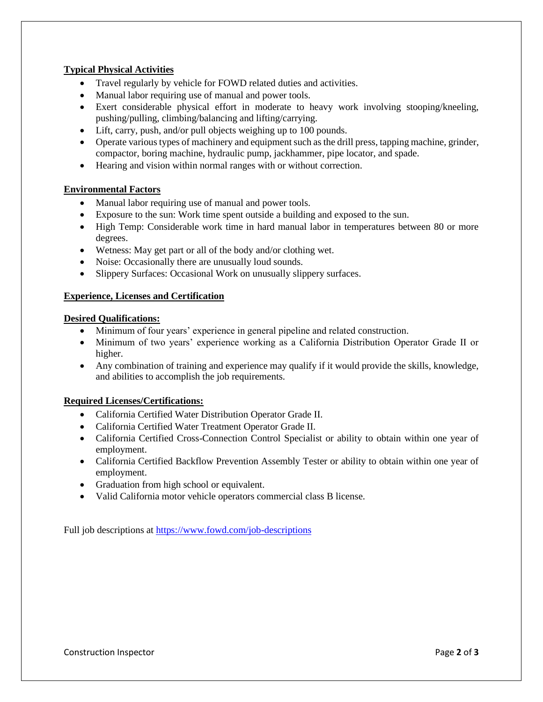## **Typical Physical Activities**

- Travel regularly by vehicle for FOWD related duties and activities.
- Manual labor requiring use of manual and power tools.
- Exert considerable physical effort in moderate to heavy work involving stooping/kneeling, pushing/pulling, climbing/balancing and lifting/carrying.
- Lift, carry, push, and/or pull objects weighing up to 100 pounds.
- Operate various types of machinery and equipment such as the drill press, tapping machine, grinder, compactor, boring machine, hydraulic pump, jackhammer, pipe locator, and spade.
- Hearing and vision within normal ranges with or without correction.

#### **Environmental Factors**

- Manual labor requiring use of manual and power tools.
- Exposure to the sun: Work time spent outside a building and exposed to the sun.
- High Temp: Considerable work time in hard manual labor in temperatures between 80 or more degrees.
- Wetness: May get part or all of the body and/or clothing wet.
- Noise: Occasionally there are unusually loud sounds.
- Slippery Surfaces: Occasional Work on unusually slippery surfaces.

## **Experience, Licenses and Certification**

#### **Desired Qualifications:**

- Minimum of four years' experience in general pipeline and related construction.
- Minimum of two years' experience working as a California Distribution Operator Grade II or higher.
- Any combination of training and experience may qualify if it would provide the skills, knowledge, and abilities to accomplish the job requirements.

#### **Required Licenses/Certifications:**

- California Certified Water Distribution Operator Grade II.
- California Certified Water Treatment Operator Grade II.
- California Certified Cross-Connection Control Specialist or ability to obtain within one year of employment.
- California Certified Backflow Prevention Assembly Tester or ability to obtain within one year of employment.
- Graduation from high school or equivalent.
- Valid California motor vehicle operators commercial class B license.

Full job descriptions at<https://www.fowd.com/job-descriptions>